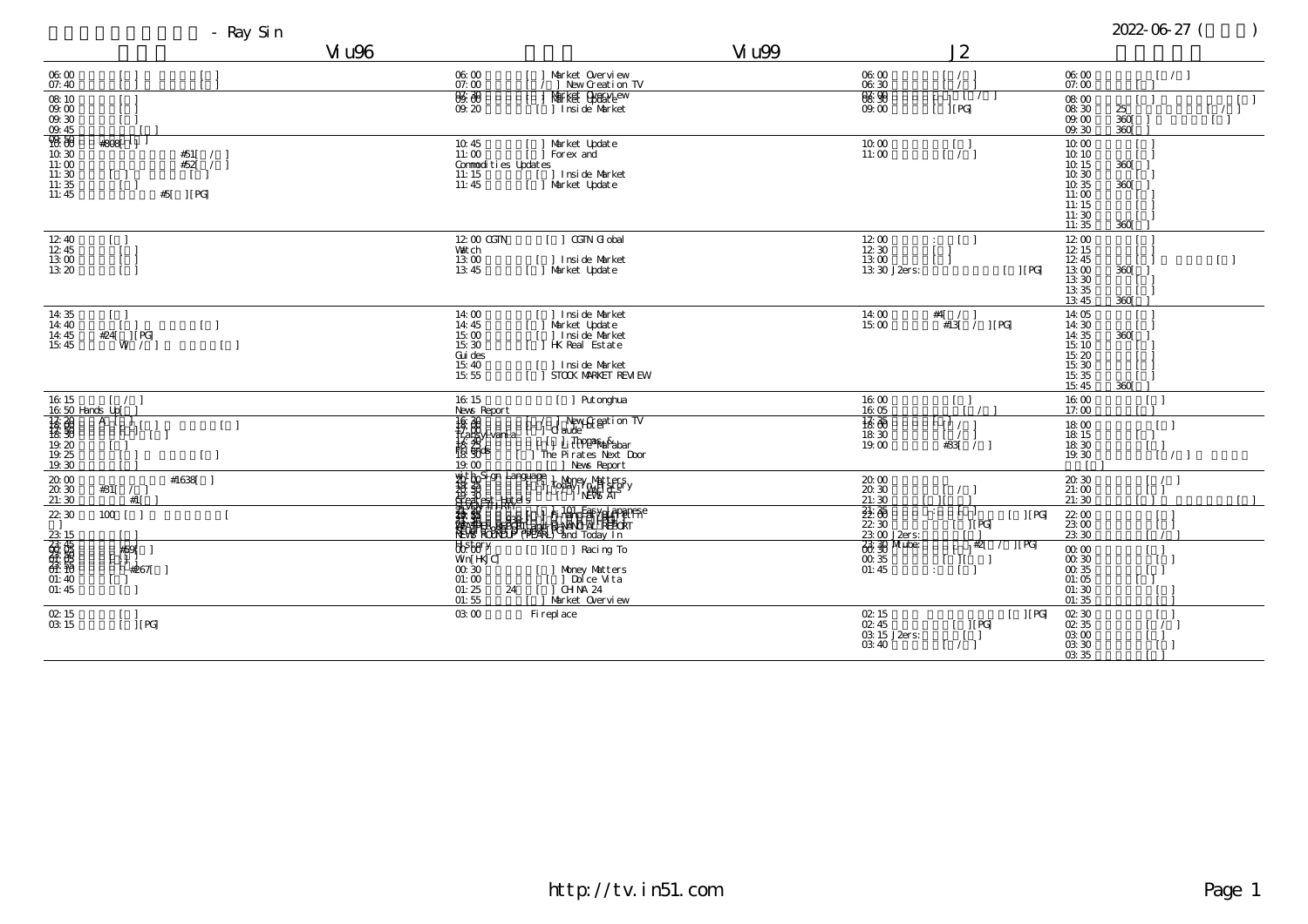- Ray Sin 2022-06-27 (2022-06-27 (2022-06-27 (2022-06-27 (2022-06-27 (2022-07 (2022-07 (2022-07 (2022-07 (2022

|                                                                                                                                                                                                                                                                                                                                   | Vi u96                                                                                              |                                                                                                                                                                                                                                      | Vi u99 |                                                |                      |
|-----------------------------------------------------------------------------------------------------------------------------------------------------------------------------------------------------------------------------------------------------------------------------------------------------------------------------------|-----------------------------------------------------------------------------------------------------|--------------------------------------------------------------------------------------------------------------------------------------------------------------------------------------------------------------------------------------|--------|------------------------------------------------|----------------------|
| 06:00<br>07:40                                                                                                                                                                                                                                                                                                                    | 06:00<br>07:00                                                                                      | Market Overview<br>  New Creation TV                                                                                                                                                                                                 |        | 06:00<br>06:30                                 |                      |
| $\frac{08}{09}$ $\frac{10}{00}$<br>$09.30$<br>$09.45$                                                                                                                                                                                                                                                                             | 836. aas<br>09.20                                                                                   | Market Cyclariew<br>1 Insi de Market                                                                                                                                                                                                 |        | <b>88.98</b><br>09.00                          |                      |
| 98.69<br>#808<br>11<br>10:30<br>#51[<br>#52[<br>11:00<br>$\sqrt{2}$<br>11:30<br>$\begin{smallmatrix} 1 & 1 \\ 1 & 1 \end{smallmatrix}$<br>11:35<br>11:45<br>$ $ [ PG]<br>#5[                                                                                                                                                      | 10:45<br>11:00<br>Conmodities Updates<br>$\begin{array}{c} 11:15 \\ 11:45 \end{array}$              | Market Update<br>Forex and<br>] Insi de Market<br>Market Update                                                                                                                                                                      |        | 10.00<br>11:00                                 |                      |
| 12:40<br>12:45<br>13:00<br>13:20                                                                                                                                                                                                                                                                                                  | 12:00 CGTN<br>Vat ch<br>13:00<br>13.45                                                              | CGTN Gl obal<br>  Inside Market<br>  Narket Update                                                                                                                                                                                   |        | 12:00<br>12.30<br>13:00<br>13 30 J2ers:        |                      |
| 14:35<br>14:40<br>$[\ ]$<br>14:45<br>$\frac{424[\text{U}]}{W}$<br>15:45                                                                                                                                                                                                                                                           | 14:00<br>14:45<br>15:00<br>15:30<br>Gui des<br>15:40<br>15:55                                       | Inside Market<br>Market Update<br>] Inside Market<br><b>HK</b> Real Estate<br>  Inside Market<br>STOCK MARKET REM EW                                                                                                                 |        | 14:00<br>15:00                                 | $#4$ [               |
| 16:15<br>16:50 Hands Up                                                                                                                                                                                                                                                                                                           | 16:15<br>News Report                                                                                | [ ] Put onghua                                                                                                                                                                                                                       |        | 16:00<br>16:05                                 |                      |
| $\frac{1}{3}$<br>$\frac{1}{3}$<br>$\frac{1}{3}$<br>$\frac{1}{3}$<br>$\frac{1}{3}$<br>$\frac{1}{3}$<br>$\frac{1}{2}$<br><br>$\frac{1}{2}$<br><br><br><br><br><br><br><br><br><br><br><br><br><br><br><br><br><br><br><br><br><br><br><br><br><br><br><br>A  <br>L<br>19:30                                                         | $\begin{array}{r} 16.30 \\ 16.30 \\ 17.40 \\ 18.33 \\ 18.33 \\ 18.30 \\ 18.30 \end{array}$<br>19:00 | New Street i on TV<br>d aude<br>[ <sup>1</sup> ] Li <del>Thomas As</del> har<br>The Pirates Next Door<br>  News Report                                                                                                               |        | $\frac{1}{6}$ $\frac{35}{6}$<br>18:30<br>19.00 | l rJ                 |
| 20.00<br>#1638<br>20.30<br>#31[ $/$  <br>#1[<br>21:30                                                                                                                                                                                                                                                                             |                                                                                                     |                                                                                                                                                                                                                                      |        | 20.00<br>20.30<br>21:30                        |                      |
| 22:30<br>$100$ $\vert$                                                                                                                                                                                                                                                                                                            |                                                                                                     | <b>A BOST SOLUTION AND CONTRACT SUPPORTS AND CONTRACT OF A BOST SUPPORTS AND A BOST SUPPORTS AND A BUNCH STATE OF A BOST SUPPORTS AND A BUNCH STATE OF A BUNCH STATE OF A BUNCH STATE OF A BUNCH STATE OF A BUNCH STATE OF A BUN</b> |        | 22.35<br>22:30<br>23:00 J2ers:                 |                      |
| $\frac{23}{60}$ $\frac{15}{60}$ $\frac{65}{60}$ $\frac{65}{60}$ $\frac{65}{60}$ $\frac{65}{60}$ $\frac{65}{60}$ $\frac{65}{60}$ $\frac{65}{60}$ $\frac{65}{60}$ $\frac{65}{60}$ $\frac{65}{60}$ $\frac{65}{60}$ $\frac{65}{60}$ $\frac{65}{60}$ $\frac{65}{60}$ $\frac{65}{60}$ $\frac{65}{60}$ $\frac{6$<br>#59<br>#267<br>01:45 | Pepar<br>Wn[H <sub>NC]</sub><br>$00.\overline{30}$<br>01:00<br>01:25<br>24<br>01:55                 | Racing To<br>$\frac{1}{2}$<br>Money Matters<br>] Dolce Vita<br>CH NA 24<br>$\Box$<br>Market Overview                                                                                                                                 |        | <b>88 39 Mube:</b><br>00.35<br>01:45           | $\ddot{\phantom{a}}$ |
| 02:15<br>03:15<br>$ $ [ PG]                                                                                                                                                                                                                                                                                                       | 03:00                                                                                               | Fi repl ace                                                                                                                                                                                                                          |        | 02:15<br>02.45<br>03:15 J2ers:<br>03:40        |                      |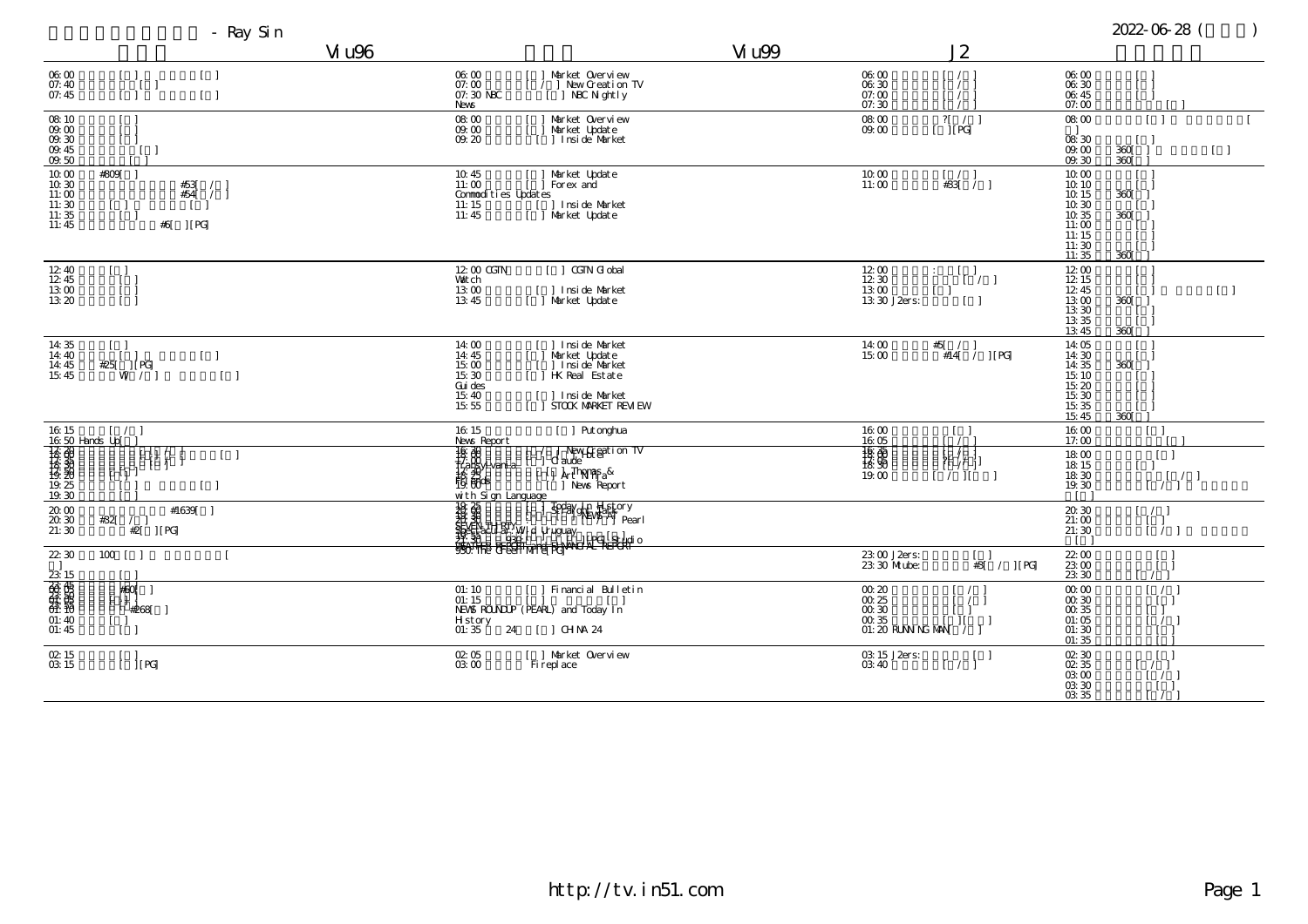|                                                                                                                                                                                                                                                                                                                                                                                           | Vi u96                                                                                                                                                                                                                                                                                                                                                                                                                              |                                                                                                                       | Vi u99 |                                                                                         |                                        |
|-------------------------------------------------------------------------------------------------------------------------------------------------------------------------------------------------------------------------------------------------------------------------------------------------------------------------------------------------------------------------------------------|-------------------------------------------------------------------------------------------------------------------------------------------------------------------------------------------------------------------------------------------------------------------------------------------------------------------------------------------------------------------------------------------------------------------------------------|-----------------------------------------------------------------------------------------------------------------------|--------|-----------------------------------------------------------------------------------------|----------------------------------------|
| 06:00<br>$\begin{bmatrix} 1 \end{bmatrix}$<br>07:40<br>07:45                                                                                                                                                                                                                                                                                                                              | 06.00<br>07:00<br>07: 30 NBC<br>News                                                                                                                                                                                                                                                                                                                                                                                                | Market Overview<br>/   New Creation TV<br>J NBC N ght l y                                                             |        | 06:00<br>06:30<br>07:00<br>07:30                                                        |                                        |
| $\mathop{08.} \limits^{\text{OS. 10}}$ $\mathop{09.} \limits^{\text{OS. 10}}$<br>09.30<br>$\frac{09.45}{09.50}$                                                                                                                                                                                                                                                                           | $08:00$<br>09.00<br>09.20                                                                                                                                                                                                                                                                                                                                                                                                           | Market Overview<br>Market Update<br>  Inside Market                                                                   |        | $\frac{08}{09} \frac{00}{00}$                                                           |                                        |
| #809[<br>10.00<br>10:30<br>#53[<br>#54[<br>$\sqrt{2}$<br>11:00<br>11:30<br>- 1<br>$\frac{11:35}{11:45}$<br>$\Box$<br> [PG]<br>#6[                                                                                                                                                                                                                                                         | $^{10.45}_{11:00}$<br>Conmodities Updates<br>11:15<br>11:45                                                                                                                                                                                                                                                                                                                                                                         | Market Update<br>Forex and<br>[ ] Inside Market<br>[ ] Market Update                                                  |        | $\begin{array}{c} 10.00 \\ 11.00 \end{array}$                                           |                                        |
| 12:40<br>12:45<br>13:00<br>13:20                                                                                                                                                                                                                                                                                                                                                          | 12:00 CGTN<br>Vait ch<br>13:00<br>13.45                                                                                                                                                                                                                                                                                                                                                                                             | CGTN Gl obal<br>] Insi de Market<br>[ ] Market Update                                                                 |        | $\begin{array}{l} 12 \ 00 \\ 12 \ 30 \\ 13 \ 00 \\ 13 \ 30 \ J2ers \end{array}$         | $\ddot{\phantom{a}}$<br>$\overline{1}$ |
| 14:35<br>$[\ ]$<br>14:40<br>$\begin{bmatrix} 1 \end{bmatrix}$<br>14:45<br>#25[<br>] [ PG<br>15:45<br>W'                                                                                                                                                                                                                                                                                   | 14:00<br>$^{14:45}_{15:00}$<br>$\mathbb{I}$<br>15:30<br>Gui des<br>15:40<br>15:55                                                                                                                                                                                                                                                                                                                                                   | Inside Market<br>Market Update<br>  Inside Market<br>  HK Real Estate<br>[ ] Inside Market<br>[ ] STOOK MARKET REM EW |        | 14:00<br>15:00                                                                          | #5                                     |
|                                                                                                                                                                                                                                                                                                                                                                                           | 16:15<br>News Report                                                                                                                                                                                                                                                                                                                                                                                                                | [ ] Put onghua                                                                                                        |        | 16:00<br>16:05                                                                          |                                        |
| $\begin{array}{ l l l } \hline \rule{0pt}{2.5ex}16 & 15 & & & \\ \hline 16 & 50 & \text{Hands } \rule{0pt}{2.5ex} \rule{0pt}{2.5ex} \rule{0pt}{2.5ex} \rule{0pt}{2.5ex} \rule{0pt}{2.5ex} \rule{0pt}{2.5ex} \rule{0pt}{2.5ex} \rule{0pt}{2.5ex} \rule{0pt}{2.5ex} \rule{0pt}{2.5ex} \rule{0pt}{2.5ex} \rule{0pt}{2.5ex} \rule{0pt}{2.5ex} \rule{0pt}{2.5ex} \rule{0pt}{2.5ex} \$<br>19.30 | $\begin{array}{c c c c} \hline \text{R} & \text{R} & \text{R} \\ \hline \text{R} & \text{R} & \text{R} \\ \text{R} & \text{R} & \text{R} \\ \text{R} & \text{R} & \text{R} \\ \text{R} & \text{R} & \text{R} \\ \text{R} & \text{R} & \text{R} \\ \text{R} & \text{R} & \text{R} \\ \text{R} & \text{R} & \text{R} \\ \text{R} & \text{R} & \text{R} \\ \text{R} & \text{R} & \text{R} \\ \text{R} & \text{R} & \text{R} \\ \text{$ | / New Steption TV<br>  Claude<br>  [ ] Arthama <sub>nga</sub> &<br>] News Report                                      |        | $\frac{16}{18} \frac{35}{90}$<br>19:00                                                  |                                        |
| $20.00\,$<br>#1639<br>20.30<br>#32[ $/$ ]<br>#2[ ] [PG]<br>21:30                                                                                                                                                                                                                                                                                                                          |                                                                                                                                                                                                                                                                                                                                                                                                                                     |                                                                                                                       |        |                                                                                         |                                        |
| $22\,30$<br>$100$ [ ]                                                                                                                                                                                                                                                                                                                                                                     |                                                                                                                                                                                                                                                                                                                                                                                                                                     |                                                                                                                       |        | 23:00 J2ers:<br>23:30 Mube:                                                             |                                        |
| $\frac{23}{60}$ $\frac{15}{60}$ $\frac{45}{60}$ $\frac{45}{60}$ $\frac{45}{60}$ $\frac{45}{60}$ $\frac{45}{60}$ $\frac{45}{60}$<br>⊭60<br>#268                                                                                                                                                                                                                                            | 01:10<br>01:15<br>H st or y<br>01: 35<br>24                                                                                                                                                                                                                                                                                                                                                                                         | Financial Bulletin<br>NEWS ROUNDLP (PEARL) and Today In<br>$[$ ] CHNA 24                                              |        | $\begin{array}{c} 00.20 \\ 00.25 \\ 00.30 \end{array}$<br>$00.35$<br>01: 20 RLNN NG MAN |                                        |
| 02:15<br>i j[PG]<br>03:15                                                                                                                                                                                                                                                                                                                                                                 | 02:05<br>03:00                                                                                                                                                                                                                                                                                                                                                                                                                      | [ ] Market Overview<br>Fi repl ace                                                                                    |        | 03:15 J2ers:<br>03:40                                                                   |                                        |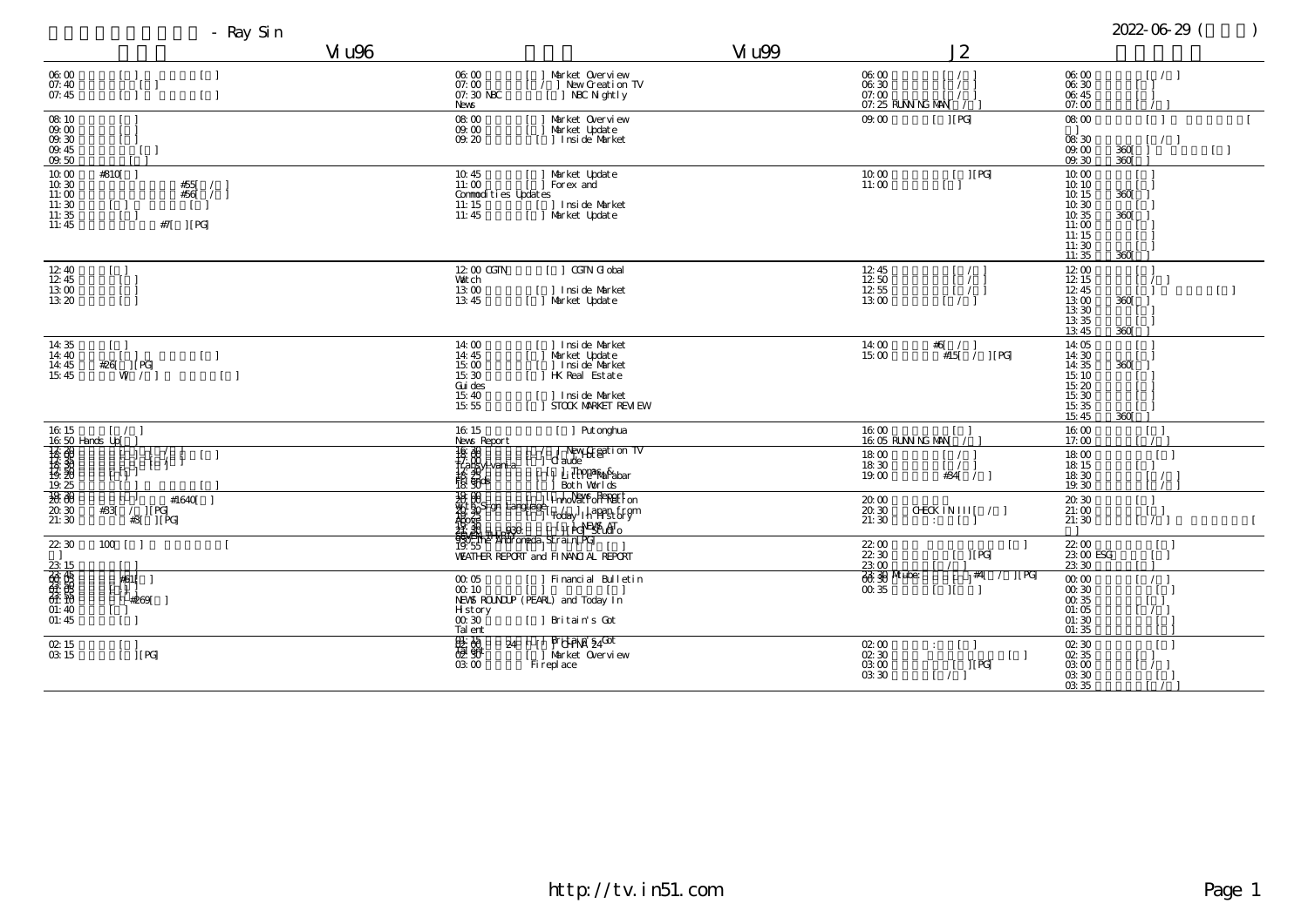|                                                                                                                                                                                                                                                                                                                                                                                                       | Vi u96                                                                                  |                                                                                                                   | Vi u99                                                                             |     |
|-------------------------------------------------------------------------------------------------------------------------------------------------------------------------------------------------------------------------------------------------------------------------------------------------------------------------------------------------------------------------------------------------------|-----------------------------------------------------------------------------------------|-------------------------------------------------------------------------------------------------------------------|------------------------------------------------------------------------------------|-----|
| 06:00<br>$[\ ]$<br>$\Box$<br>07:40<br>07:45<br>$\begin{bmatrix} -1 \end{bmatrix}$                                                                                                                                                                                                                                                                                                                     | 06:00<br>07:00<br>07:30 NBC<br>News                                                     | Market Overview<br>/   New Creation TV<br>J NBC N ght l y                                                         | 06:00<br>$\frac{06}{07}$ : $\frac{30}{00}$<br>07: 25 RUNN NG MAN                   |     |
| $\begin{array}{c} 08.10 \\ 09.00 \\ 09.30 \end{array}$<br>09:45<br>09.50                                                                                                                                                                                                                                                                                                                              | 08:00<br>09.00<br>09.20                                                                 | Market Overview<br>Market Update<br>Inside Market                                                                 | 09.00                                                                              |     |
| #810[ ]<br>10.00<br>10.30<br>#55[<br>#56[<br>11:00<br>11:30<br>$\begin{bmatrix} 1 \\ 1 \end{bmatrix}$<br>11:35<br>11:45<br>#7[ ] [ PG]                                                                                                                                                                                                                                                                | 10.45<br>11:00<br>Conmodities Updates<br>11:15<br>11:45                                 | Market Update<br>Forex and<br>] Insi de Market<br>Market Update                                                   | $\begin{array}{c} 10.00 \\ 11.00 \end{array}$                                      |     |
| $\substack{12\\12\\45}$<br>L<br>$\begin{smallmatrix} 13 & 00\\ 13 & 20 \end{smallmatrix}$                                                                                                                                                                                                                                                                                                             | 12:00 CGTN<br>Vat ch<br>$\begin{array}{c} 13 \ 00 \\ 13 \ 45 \end{array}$               | CGTN G obal<br>] Insi de Market<br>Market Updat e                                                                 | $\begin{array}{l} 12 \ 45 \\ 12 \ 50 \\ 12 \ 55 \\ 13 \ 00 \end{array}$            |     |
| 14:35<br>14:40<br>$\begin{bmatrix} 1 \end{bmatrix}$<br>$[\begin{smallmatrix} 1 & 1 & 1 \\ 1 & 1 & 1 \\ 1 & 1 & 1 \end{smallmatrix}]$<br>$\begin{array}{c} 14 \cdot 45 \\ 15 \cdot 45 \end{array}$<br>#26[<br>$\lceil$ $\rceil$                                                                                                                                                                        | 14:00<br>14:45<br>15:00<br>15:30<br>Gui des<br>15:40<br>15:55                           | Insi de Market<br>Market Update<br>J Insi de Market<br>HK Real Estate<br>] Inside Market<br>I STOCK MARKET REM EW | 14:00<br>15:00                                                                     | #6[ |
| $16.15$ $[ / 16.50$ Hands Up                                                                                                                                                                                                                                                                                                                                                                          | $16\,$ $15$<br>News Report                                                              | [ ] Put onghua                                                                                                    | 16:00<br>16:05 RUNN NG MAN                                                         |     |
| $\frac{1}{18}$<br>r ti i                                                                                                                                                                                                                                                                                                                                                                              | $\begin{array}{l} 16.30 \\ 15.30 \\ 17.40 \\ 18.25 \\ 18.30 \\ 19.30 \\ \end{array}$    | New Greation TV<br>  d'aude<br>  Li Trpp#Raf¥abar<br>  Both Worlds                                                | 18:00<br>18:30<br>19.00                                                            |     |
| #1640[<br>$\frac{7}{43}$ [PG]<br>#33                                                                                                                                                                                                                                                                                                                                                                  | AN AH<br>CHARLENGE   11 POPUL<br>1955 - Androneda <sub>l</sub> Strain PG<br>1955 -      | The Mark Penetton<br>Bell The Mark of The Second<br>The Hotel The Second<br>[1] Pel Esperanto                     | $\begin{array}{c} 20.00 \\ 20.30 \\ 21:30 \end{array}$<br>CHECK IN<br>$\therefore$ |     |
| 22:30<br>$100$ $\left[$ $\right]$                                                                                                                                                                                                                                                                                                                                                                     | VEATHER REPORT and FINANCIAL REPORT                                                     |                                                                                                                   | 22:00<br>22:30<br>2300                                                             |     |
| $\frac{23}{60}$ $\frac{15}{60}$ $\frac{60}{60}$ $\frac{15}{60}$ $\frac{60}{60}$ $\frac{1}{60}$ $\frac{1}{60}$ $\frac{1}{60}$ $\frac{1}{60}$ $\frac{1}{60}$ $\frac{1}{60}$ $\frac{1}{60}$ $\frac{1}{60}$ $\frac{1}{60}$ $\frac{1}{60}$ $\frac{1}{60}$ $\frac{1}{60}$ $\frac{1}{60}$ $\frac{1}{60}$ $\frac{1}{6$<br>#61∫<br>#269<br>$\lceil - \rceil$<br>01:45<br>$\begin{bmatrix} 1 & 1 \end{bmatrix}$ | 00.05<br>$\infty$ 10<br>NEWS ROUNDLP (PEARL) and Today In<br>Hstory<br>00.30<br>Tal ent | Financial Bulletin<br>[ ] Britain's Cot                                                                           | <b>88 30 Mube:</b><br>00.35                                                        |     |
| 02:15<br>$\dot{\rm J}$ [ PG]<br>03:15                                                                                                                                                                                                                                                                                                                                                                 | 體體<br>24<br>03:00                                                                       | <b>Pritteina</b> \$400t<br>  Market Overview<br>Fi repl ace                                                       | 02:00<br>02.30<br>03:00<br>03:30                                                   |     |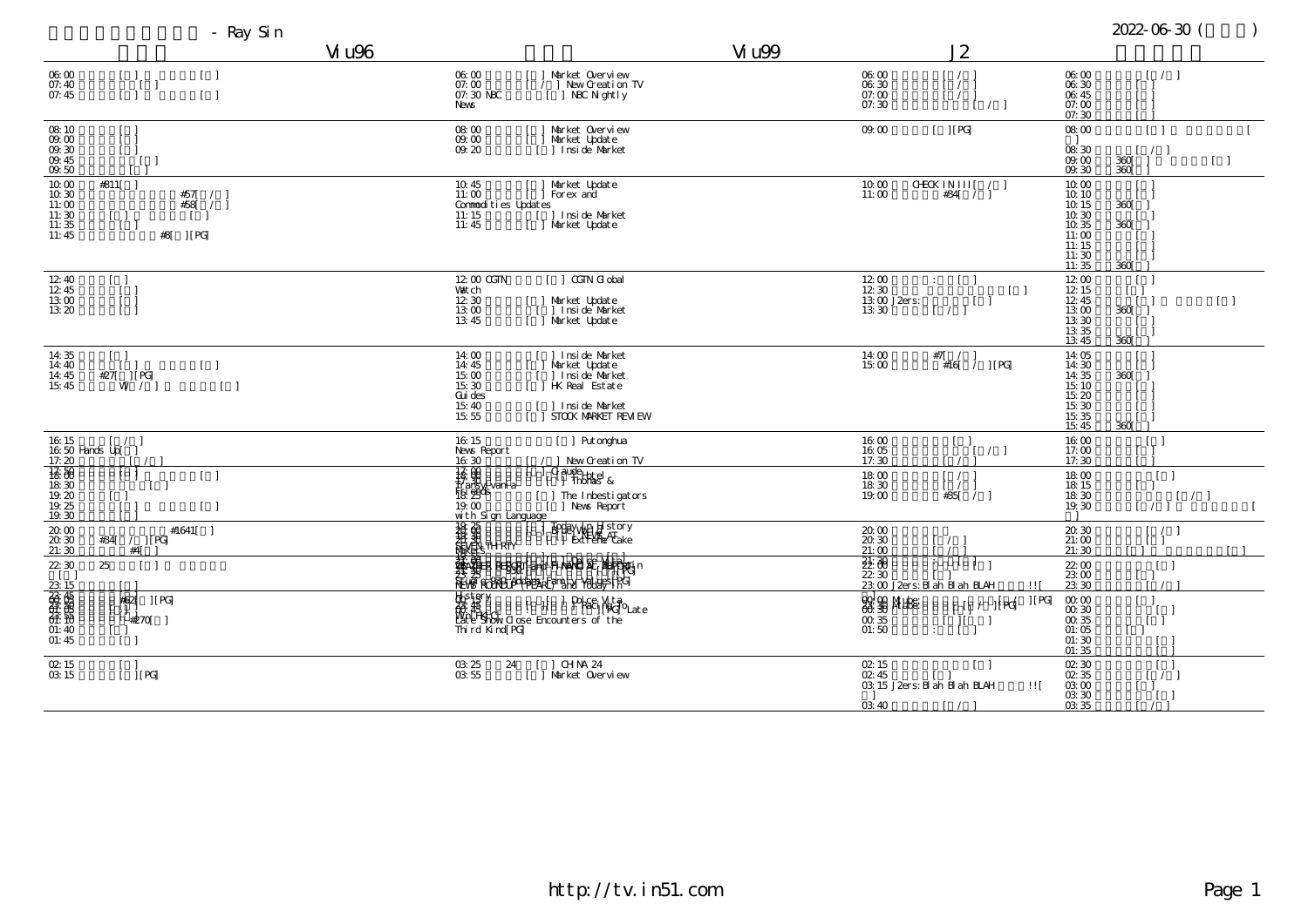| - Ray Sin                                                                                                                                                                                                                                                                                                                                                                            |                                                               |                                                                                                                                                                                                                  |                                                                                                                                                                                                                      |
|--------------------------------------------------------------------------------------------------------------------------------------------------------------------------------------------------------------------------------------------------------------------------------------------------------------------------------------------------------------------------------------|---------------------------------------------------------------|------------------------------------------------------------------------------------------------------------------------------------------------------------------------------------------------------------------|----------------------------------------------------------------------------------------------------------------------------------------------------------------------------------------------------------------------|
|                                                                                                                                                                                                                                                                                                                                                                                      | Vi u96                                                        | Vi u99                                                                                                                                                                                                           |                                                                                                                                                                                                                      |
| 06:00<br>$\begin{bmatrix} & 1 \\ & 1 \\ & 1 \end{bmatrix}$<br>$\begin{bmatrix} 1 \end{bmatrix}$<br>07:40<br>-1<br>$[\quad]$<br>07:45                                                                                                                                                                                                                                                 | 06:00<br>07:00<br>07:30 NBC<br>News                           | Market Overview<br>06:00<br>06.30<br>/ ] New Creation TV<br>[ ] NBC N ghtly<br>07:00<br>07:30                                                                                                                    |                                                                                                                                                                                                                      |
| $\frac{08}{09}$ $\frac{10}{00}$<br>09.30<br>09.45<br>09.50                                                                                                                                                                                                                                                                                                                           | 08:00<br>09.00<br>09.20                                       | 09.00<br>Market Overview<br>Market Update<br>1 Insi de Market                                                                                                                                                    |                                                                                                                                                                                                                      |
| 10:00<br>#811[ ]<br>$10.30$<br>#57<br>#58[<br>11:00<br>$\begin{array}{c} 11:30 \\ 11:35 \end{array}$<br>$\begin{smallmatrix} 1 & 1 \\ 1 & 1 \end{smallmatrix}$<br>$\,$ ] [ PG] $\,$<br>11:45<br>#8                                                                                                                                                                                   | 10:45<br>11:00<br>Commodities Updates<br>11:15<br>11:45       | Market Update<br>10.00<br>Forex and<br>11:00<br>[] Inside Market<br>[] Market Update                                                                                                                             | <b>CHECK II</b>                                                                                                                                                                                                      |
| 12:40<br>$\lceil$ $\lceil$<br>12.45<br>13:00<br>13:20                                                                                                                                                                                                                                                                                                                                | 12:00 CGTN<br><b>Vatch</b><br>12:30<br>13.00<br>13:45         | $\lceil$   CGTN G obal<br>Market Update<br>J. Inside Market<br>Market Update<br>13:30                                                                                                                            | $\begin{array}{l} 12 \ 00 \\ 12 \ 30 \\ 13 \ 00 \  \, \text{J2ers:} \end{array}$<br>$\mathbb{R}^n$<br>$\Box$                                                                                                         |
| 14:35<br>$\Box$<br>14:40<br>$\begin{bmatrix} 1 \end{bmatrix}$<br>$#27$ $ $ $ $ $ $ $PG$<br>14:45<br>15:45<br>$W$ /<br>$[\ ]$                                                                                                                                                                                                                                                         | 14:00<br>14:45<br>15.00<br>15:30<br>Gui des<br>15:40<br>15:55 | ] Insi de Market<br>Market Updat e<br>] Insi de Market<br>14:00<br>15:00<br><b>HK</b> Real Estate<br>Insi de Market<br>STOCK MARKET REM EW                                                                       | #7[                                                                                                                                                                                                                  |
| 16:15<br>$\sqrt{2}$<br>16:50 Hands Up[ ]<br>17:20<br>18.50<br>$\lceil$<br>18:30<br>$\begin{array}{c} 19.20 \\ 19.25 \end{array}$<br>$\begin{bmatrix} 1 \end{bmatrix}$<br>19:30                                                                                                                                                                                                       | 16:15<br>News Report<br>16:30<br>with Sign Language           | Put onghua<br>16:00<br>16:05<br>17:30<br>New Creation TV<br>$\begin{bmatrix} \text{Qudef}_{\text{Hole}} \\ \text{I} \end{bmatrix}$ thomas &<br>18:00<br>18:30<br>19.00<br>] The Inbestigators<br>[ ] News Report |                                                                                                                                                                                                                      |
| $\substack{20.00\\20.30}$<br>#1641 $\lceil$<br>#34 /     PG <br>21:30<br>#4<br>22:30<br>25                                                                                                                                                                                                                                                                                           | <b>HARRY THE REAL PROPERTY</b>                                | Foday Wald story<br>[ ] Extreme Cake<br>$\substack{20.00\\20.30}$<br>21:00<br>SE SER REGGET and Fiteral SE Motor                                                                                                 | $\frac{22}{22}$<br>$\frac{22}{30}$<br>$\frac{23}{30}$ $\frac{1}{23}$<br>$\frac{1}{23}$<br>$\frac{1}{23}$<br>$\frac{1}{23}$<br>$\frac{1}{23}$<br>$\frac{1}{23}$<br>$\frac{1}{23}$<br>$\frac{1}{23}$<br>$\frac{1}{23}$ |
| $\frac{23}{60}$ $\frac{15}{60}$ $\frac{15}{60}$ $\frac{15}{60}$ $\frac{15}{60}$ $\frac{15}{60}$ $\frac{15}{60}$ $\frac{15}{60}$ $\frac{15}{60}$ $\frac{15}{60}$ $\frac{15}{60}$ $\frac{15}{60}$ $\frac{15}{60}$ $\frac{15}{60}$ $\frac{15}{60}$ $\frac{15}{60}$ $\frac{15}{60}$ $\frac{15}{60}$ $\frac{1$<br>#62<br> [PG]<br>H.<br>#270[<br>$\lceil \cdot \rceil$<br>01:45<br>$\Box$ | Thi rd Kind PG                                                | History<br><b>18</b> 48<br>Miter Show <u>Close</u> Encounters of the<br>Dol.ce, Vita<br> -<br>  Paci [BG]OLate<br>$\frac{00}{01:50}$                                                                             | <b>SEE SEE MARGES</b><br>$\pm$                                                                                                                                                                                       |
| $\underset{\text{OS}}{\text{O2: }} 15$<br>$ $ [ PG]                                                                                                                                                                                                                                                                                                                                  | 24<br>$\begin{array}{c} 03.25 \\ 03.55 \end{array}$           | CH NA 24<br>02:15<br>02:45<br>Market Overview<br>03:40                                                                                                                                                           | 03:15 J2ers: Bl ah                                                                                                                                                                                                   |

## http://tv.in51.com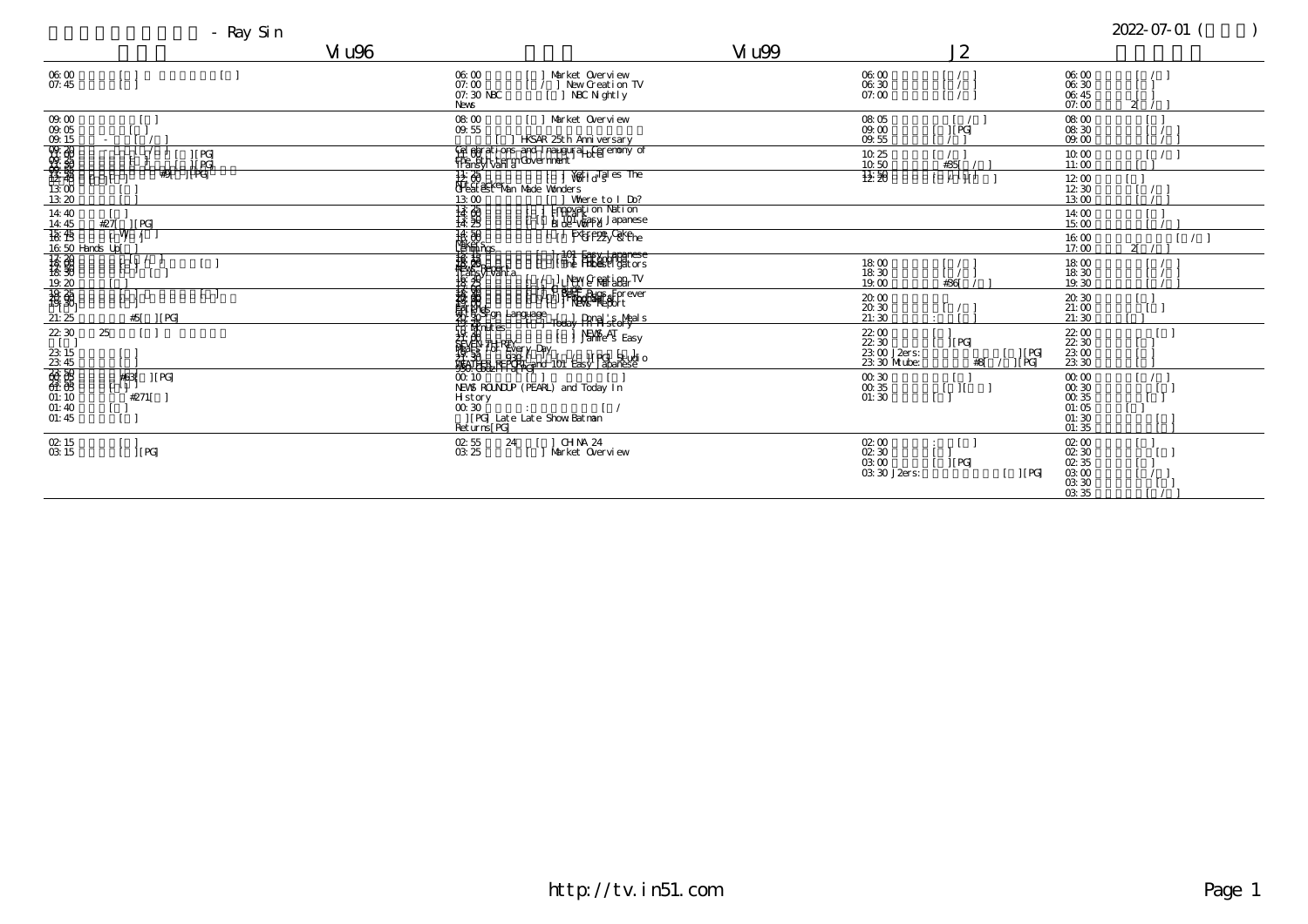|                                                                                                                                                                                                                                                                                                                                                                                                                         | - Ray Sin                                                    |                                                          |                                                                                                                                                                                                                                                                                                                                                                   |                                                                         |  |
|-------------------------------------------------------------------------------------------------------------------------------------------------------------------------------------------------------------------------------------------------------------------------------------------------------------------------------------------------------------------------------------------------------------------------|--------------------------------------------------------------|----------------------------------------------------------|-------------------------------------------------------------------------------------------------------------------------------------------------------------------------------------------------------------------------------------------------------------------------------------------------------------------------------------------------------------------|-------------------------------------------------------------------------|--|
|                                                                                                                                                                                                                                                                                                                                                                                                                         |                                                              | Vi u96                                                   |                                                                                                                                                                                                                                                                                                                                                                   | Vi u99                                                                  |  |
| 06:00<br>07:45                                                                                                                                                                                                                                                                                                                                                                                                          | $\Box$                                                       | 06:00<br>07:00<br>07:30 NBC<br>News                      | Market Overview<br>] New Creation TV<br>[ ] NBC N ghtly                                                                                                                                                                                                                                                                                                           | 06:00<br>06:30<br>07:00                                                 |  |
|                                                                                                                                                                                                                                                                                                                                                                                                                         |                                                              | 08.00<br>09.55                                           | Market Overview<br><b>HSAR 25th Anniversary</b>                                                                                                                                                                                                                                                                                                                   | 08:05<br>$09.00$<br>$09.55$                                             |  |
|                                                                                                                                                                                                                                                                                                                                                                                                                         | $\begin{array}{c}  [{\rm\,PG}] \cr  [{\rm\,PG}] \end{array}$ |                                                          | Gel element i ons and I naugural LC eremony of                                                                                                                                                                                                                                                                                                                    | 10.25<br>10.50                                                          |  |
|                                                                                                                                                                                                                                                                                                                                                                                                                         | $#9$ $ $ $ $ $ $ $ $ $ $ $ $ $ $ $ $ $ $<br>$\frac{1}{2}$    |                                                          |                                                                                                                                                                                                                                                                                                                                                                   | 接到                                                                      |  |
| 14:40                                                                                                                                                                                                                                                                                                                                                                                                                   | #27<br>$\overline{\phantom{a}}$ if PG.                       |                                                          |                                                                                                                                                                                                                                                                                                                                                                   |                                                                         |  |
|                                                                                                                                                                                                                                                                                                                                                                                                                         | ÙЫ                                                           | $\frac{16.50}{12000}$                                    | <b>Extreme</b> Cakehe                                                                                                                                                                                                                                                                                                                                             |                                                                         |  |
|                                                                                                                                                                                                                                                                                                                                                                                                                         |                                                              | <b>Tarta</b><br>Helsen<br>Bastroanta<br>Bastroan         | <del>, 101 Fasy, Japanese</del><br>  The Hibesti gators<br>LINELY & Rati bBar TV                                                                                                                                                                                                                                                                                  | $\begin{array}{c} 18 \ 00 \\ 18 \ 30 \end{array}$<br>19.00              |  |
| $\begin{array}{r} 14467 \\ 44567 \\ 1630 \\ 1830 \\ 1830 \\ 1830 \\ 1830 \\ 1830 \\ 1830 \\ 1830 \\ 1830 \\ 1830 \\ 1830 \\ 1830 \\ 1830 \\ 1830 \\ 1830 \\ 1830 \\ 1830 \\ 1830 \\ 1830 \\ 1830 \\ 1830 \\ 1830 \\ 1830 \\ 1830 \\ 1830 \\ 1830 \\ 1830 \\ 1830 \\ 1830 \\ 1830 \\ 1830 \\ 1830 \\ 1830 \\ $                                                                                                           | #5<br>$\vert$ [ PG]                                          | †द्रः ⊖                                                  | <b>Bude</b><br>  Produce Bugs Forever<br>    Pews Report                                                                                                                                                                                                                                                                                                          | $\begin{array}{c} 20.00 \\ 20.30 \\ 21:30 \end{array}$                  |  |
| $\begin{array}{r} 22 \overline{\smash)33.33 \times 15.45 \times 100 \times 100 \times 100 \times 100 \times 100 \times 100 \times 100 \times 100 \times 100 \times 100 \times 100 \times 100 \times 100 \times 100 \times 100 \times 100 \times 100 \times 100 \times 100 \times 100 \times 100 \times 100 \times 100 \times 100 \times 100 \times 100 \times 100 \times 100 \times 100 \times 100 \times 100 \times 1$ | 25                                                           |                                                          | <b>Finding</b><br><del>- 20 S</del> gn Language<br>- 10 S gn Language - 1 Today Party<br>- 20 S gn Language - 1 Party Easy<br>19 April 15<br>September 19 April 19 April 19 April 19 April 19 April 19 April 19 April 19 April 19 April 19 April 19 April 1<br>20 April 19 April 19 April 19 April 19 April 19 April 19 April 19 April 19 April 19 April 19 April | 22: 00<br>22: 30<br>23: 00 J2ers:<br>23: 30 M ube:                      |  |
|                                                                                                                                                                                                                                                                                                                                                                                                                         | #63<br>$\vert$ [ PG]<br>$#271$ [                             | $H_{\text{story}}$ 00.30                                 | NEWS ROUNDLP (PEARL) and Today In                                                                                                                                                                                                                                                                                                                                 | $\begin{array}{c} 00.30 \\ 00.35 \\ 01:30 \end{array}$                  |  |
|                                                                                                                                                                                                                                                                                                                                                                                                                         |                                                              | u 30<br>  PG  Late Late Show Batman<br><u>Returns[PG</u> |                                                                                                                                                                                                                                                                                                                                                                   |                                                                         |  |
| 02:15<br>03:15                                                                                                                                                                                                                                                                                                                                                                                                          | $[$ [ $PG$ ]                                                 | 02:55<br>24<br>03:25                                     | ] CHNA 24<br>Market Overview                                                                                                                                                                                                                                                                                                                                      | 02:00<br>$\begin{array}{c} 02.30 \\ 03.00 \end{array}$<br>03: 30 J2ers: |  |
|                                                                                                                                                                                                                                                                                                                                                                                                                         |                                                              |                                                          |                                                                                                                                                                                                                                                                                                                                                                   |                                                                         |  |

## http://tv.in51.com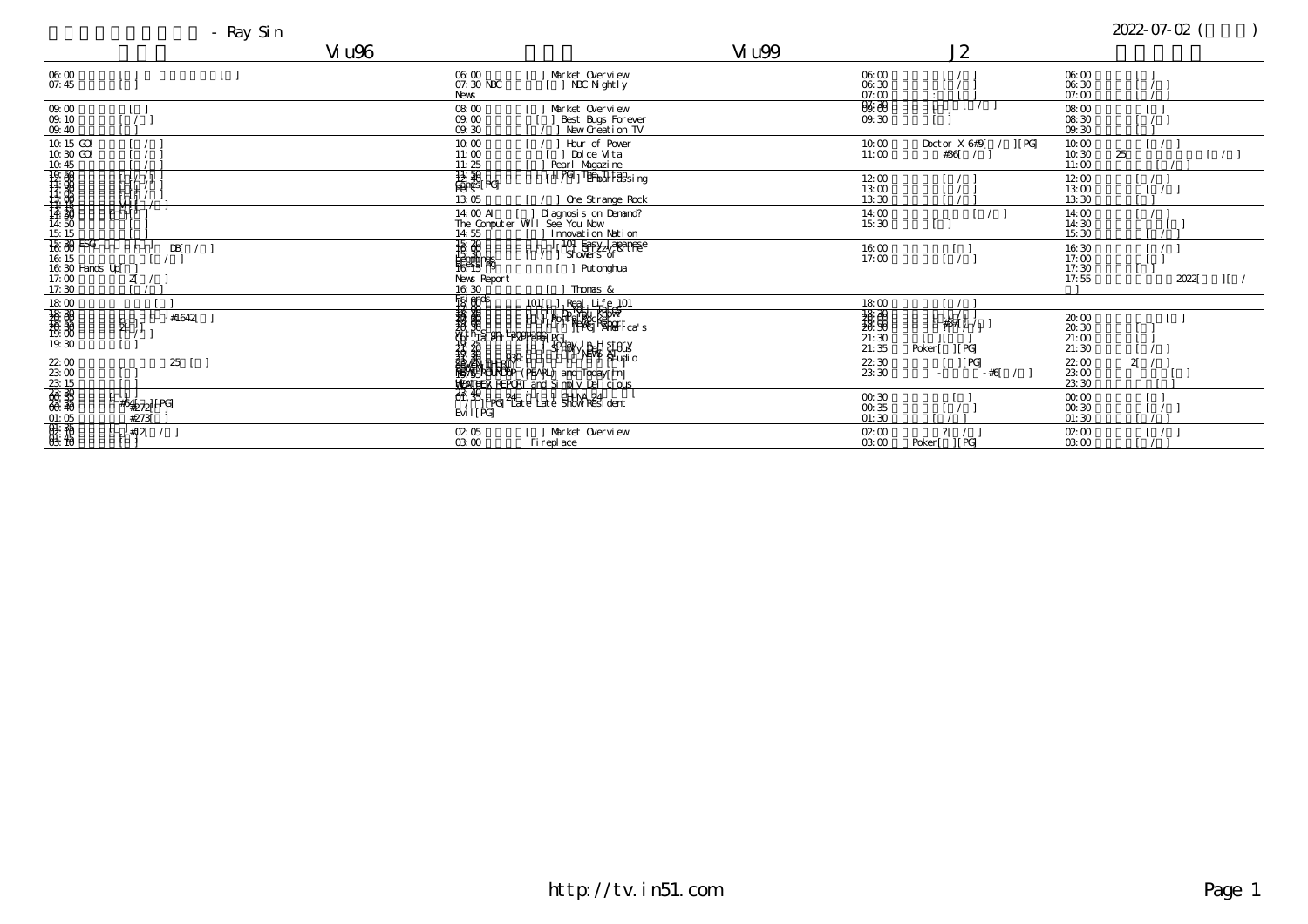## where  $V_1$  u96  $V_2$  and  $V_3$  and  $V_4$  u99  $V_5$  and  $V_7$  and  $V_8$   $V_9$  and  $V_9$  and  $V_9$  and  $V_9$  and  $V_9$  and  $V_9$  and  $V_9$  and  $V_9$  and  $V_9$  and  $V_9$  and  $V_9$  and  $V_9$  and  $V_9$  and  $V_9$  and  $V_9$  and

| 06:00<br>07:45                                                                             | 06:00<br>Market Overview<br>07:30 NBC<br>NBC N ght l y<br><b>News</b>                                                                                                                                                                                                                                                                                                                        | 06:00<br>06:30<br>07:00 |         |
|--------------------------------------------------------------------------------------------|----------------------------------------------------------------------------------------------------------------------------------------------------------------------------------------------------------------------------------------------------------------------------------------------------------------------------------------------------------------------------------------------|-------------------------|---------|
| 09.00<br>09.10<br>09:40                                                                    | 08:00<br>Market Overview<br>09.00<br>Best Bugs Forever<br>New Creation TV<br>09.30                                                                                                                                                                                                                                                                                                           | 06:30<br>09.30          |         |
| 10.15 GO<br>10:30 GO                                                                       | Hour of Power<br>10.00<br>Dol ce Vita<br>11:00<br>11:25<br>Pearl Magazine                                                                                                                                                                                                                                                                                                                    | 10:00<br>11:00          | Doct or |
|                                                                                            | $\frac{11.50}{\frac{11.50}{100}}$ rg<br>IPG The The Halsing<br>13:05<br>One Strange Rock                                                                                                                                                                                                                                                                                                     | 12:00<br>13:00<br>13:30 |         |
| VI I<br>$\mathfrak{t}_1$                                                                   | 14:00 AI [ ] Diagnosis on Denand?<br>The Computer WII See You Now<br>14:55<br>I nnovati on Nati on                                                                                                                                                                                                                                                                                           | 14:00<br>15:30          |         |
| $\frac{15}{18}$ $\frac{20}{18}$ ESG<br><b>DBI</b><br>16:15<br>$16.30$ Hands Up[<br>$17.00$ | $\frac{15}{15}$<br>101 Fasy Japanese<br>Showers of<br>Put onghua                                                                                                                                                                                                                                                                                                                             | 16:00<br>17:00          |         |
| ZÍ<br>17:30                                                                                | News Report<br>16:30<br>Thonas &                                                                                                                                                                                                                                                                                                                                                             |                         |         |
| #1642<br>श्                                                                                | Figi einds<br>$R$ eal, Life <sub>2</sub> 101<br>$101$ $\mathsf{r}$<br>Finder Richard<br><b>PARTIES</b><br>30<br>Praight Language   Proj.<br>20   SPHOV SPAL SLOCK                                                                                                                                                                                                                            | 18:00<br>21:35          | Poker   |
| 22:00<br>25                                                                                | $\frac{1}{2}$ $\frac{1}{2}$ $\frac{1}{2}$ $\frac{1}{2}$ $\frac{1}{2}$ $\frac{1}{2}$ $\frac{1}{2}$ $\frac{1}{2}$ $\frac{1}{2}$ $\frac{1}{2}$ $\frac{1}{2}$ $\frac{1}{2}$ $\frac{1}{2}$ $\frac{1}{2}$ $\frac{1}{2}$ $\frac{1}{2}$ $\frac{1}{2}$ $\frac{1}{2}$ $\frac{1}{2}$ $\frac{1}{2}$ $\frac{1}{2}$ $\frac{1}{2}$<br><sup>- yeve</sup> Studio<br><b>WATPER REPORT</b> and Simply Delicious | 22:30<br>23:30          | $\sim$  |
| $2300$<br>$2315$<br>$3315$<br>$339$<br>#64272 [PG]<br>#273                                 | $\overline{6f}$ , $\overline{8f}$ [ $PG$ ] $\overline{24}$ $\overline{e}$ [at e $\overline{e}$ at e $\overline{e}$ [A NA, $\overline{24}$ dent<br>$Evi$ $ $ $ \overrightarrow{PG} $                                                                                                                                                                                                          | 00.30<br>00.35<br>01:30 |         |
| $01.06$<br>$04.06$<br>$05.06$<br>$06.06$<br>#12                                            | Market Overview<br>02:05<br>03:00<br>Fi repl ace                                                                                                                                                                                                                                                                                                                                             | 02:00<br>03:00          | Poker   |